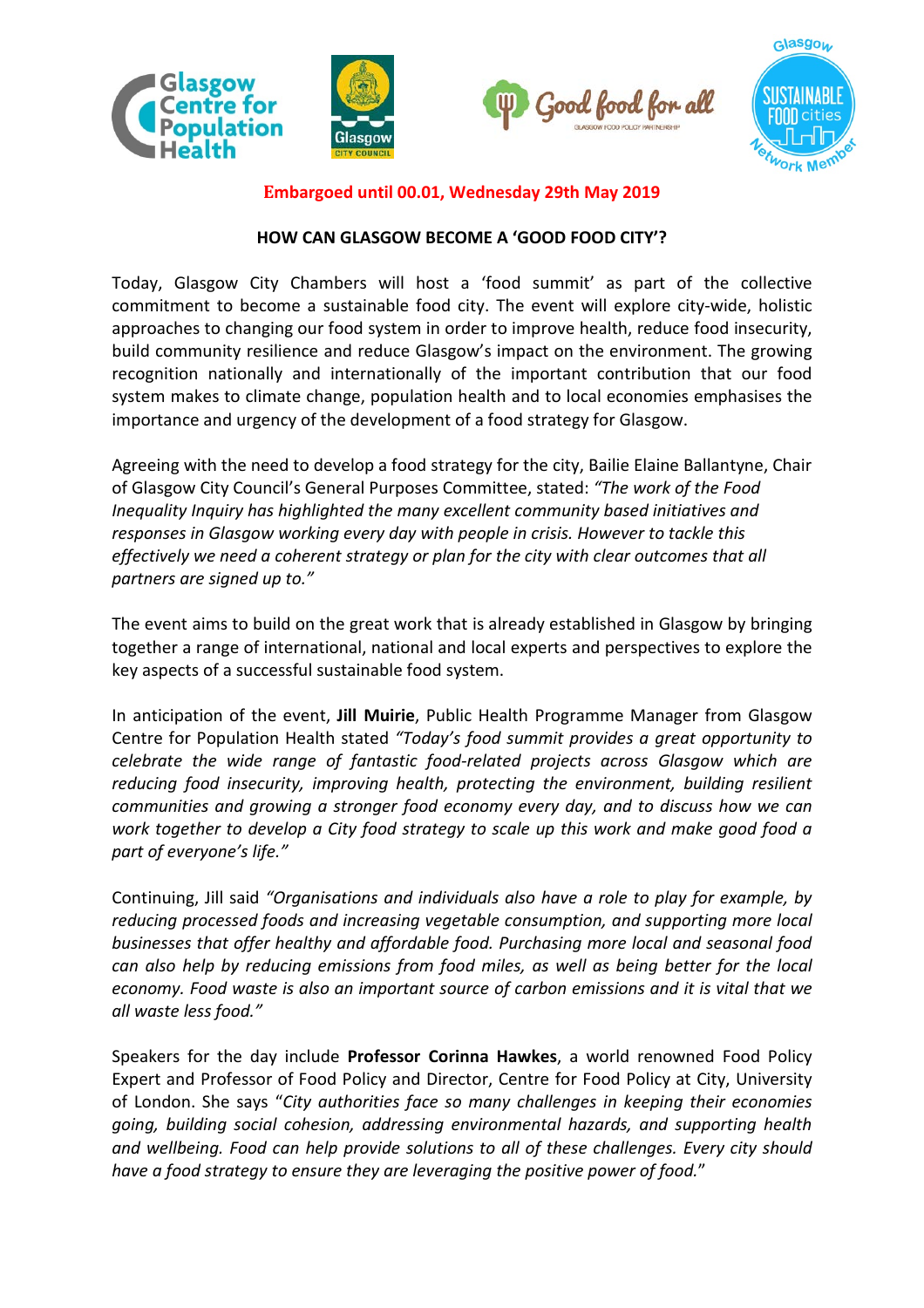





**Embargoed until 00.01, Wednesday 29th May 2019**

## **HOW CAN GLASGOW BECOME A 'GOOD FOOD CITY'?**

Today, Glasgow City Chambers will host a 'food summit' as part of the collective commitment to become a sustainable food city. The event will explore city-wide, holistic approaches to changing our food system in order to improve health, reduce food insecurity, build community resilience and reduce Glasgow's impact on the environment. The growing recognition nationally and internationally of the important contribution that our food system makes to climate change, population health and to local economies emphasises the importance and urgency of the development of a food strategy for Glasgow.

Agreeing with the need to develop a food strategy for the city, Bailie Elaine Ballantyne, Chair of Glasgow City Council's General Purposes Committee, stated: *"The work of the Food Inequality Inquiry has highlighted the many excellent community based initiatives and responses in Glasgow working every day with people in crisis. However to tackle this effectively we need a coherent strategy or plan for the city with clear outcomes that all partners are signed up to."*

The event aims to build on the great work that is already established in Glasgow by bringing together a range of international, national and local experts and perspectives to explore the key aspects of a successful sustainable food system.

In anticipation of the event, **Jill Muirie**, Public Health Programme Manager from Glasgow Centre for Population Health stated *"Today's food summit provides a great opportunity to celebrate the wide range of fantastic food-related projects across Glasgow which are reducing food insecurity, improving health, protecting the environment, building resilient communities and growing a stronger food economy every day, and to discuss how we can work together to develop a City food strategy to scale up this work and make good food a part of everyone's life."*

Continuing, Jill said *"Organisations and individuals also have a role to play for example, by reducing processed foods and increasing vegetable consumption, and supporting more local businesses that offer healthy and affordable food. Purchasing more local and seasonal food can also help by reducing emissions from food miles, as well as being better for the local economy. Food waste is also an important source of carbon emissions and it is vital that we all waste less food."*

Speakers for the day include **Professor Corinna Hawkes**, a world renowned Food Policy Expert and Professor of Food Policy and Director, Centre for Food Policy at City, University of London. She says "*City authorities face so many challenges in keeping their economies going, building social cohesion, addressing environmental hazards, and supporting health and wellbeing. Food can help provide solutions to all of these challenges. Every city should have a food strategy to ensure they are leveraging the positive power of food.*"